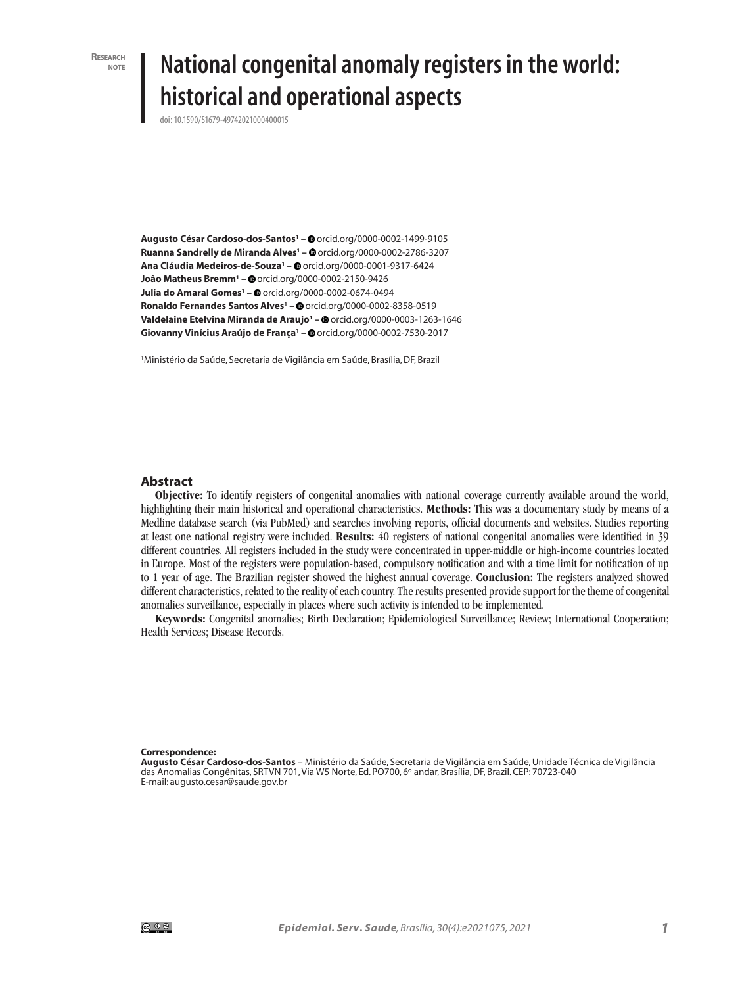**Research note**

# **National congenital anomaly registers in the world: historical and operational aspects**

doi: 10.1590/S1679-49742021000400015

**Augusto César Cardoso-dos-Santos1 –** orcid.org/0000-0002-1499-9105 **Ruanna Sandrelly de Miranda Alves1 –** orcid.org/0000-0002-2786-3207 **Ana Cláudia Medeiros-de-Souza1 –** orcid.org/0000-0001-9317-6424 **João Matheus Bremm1 –** orcid.org/0000-0002-2150-9426 **Julia do Amaral Gomes<sup>1</sup> – @** orcid.org/0000-0002-0674-0494 **Ronaldo Fernandes Santos Alves1 –** orcid.org/0000-0002-8358-0519 **Valdelaine Etelvina Miranda de Araujo<sup>1</sup> – @** orcid.org/0000-0003-1263-1646 **Giovanny Vinícius Araújo de França1 –** orcid.org/0000-0002-7530-2017

1 Ministério da Saúde, Secretaria de Vigilância em Saúde, Brasília, DF, Brazil

#### **Abstract**

**Objective:** To identify registers of congenital anomalies with national coverage currently available around the world, highlighting their main historical and operational characteristics. **Methods:** This was a documentary study by means of a Medline database search (via PubMed) and searches involving reports, official documents and websites. Studies reporting at least one national registry were included. **Results:** 40 registers of national congenital anomalies were identified in 39 different countries. All registers included in the study were concentrated in upper-middle or high-income countries located in Europe. Most of the registers were population-based, compulsory notification and with a time limit for notification of up to 1 year of age. The Brazilian register showed the highest annual coverage. **Conclusion:** The registers analyzed showed different characteristics, related to the reality of each country. The results presented provide support for the theme of congenital anomalies surveillance, especially in places where such activity is intended to be implemented.

**Keywords:** Congenital anomalies; Birth Declaration; Epidemiological Surveillance; Review; International Cooperation; Health Services; Disease Records.

**Correspondence:**

**Augusto César Cardoso-dos-Santos** – Ministério da Saúde, Secretaria de Vigilância em Saúde, Unidade Técnica de Vigilância das Anomalias Congênitas, SRTVN 701, Via W5 Norte, Ed. PO700, 6º andar, Brasília, DF, Brazil. CEP: 70723-040 E-mail: augusto.cesar@saude.gov.br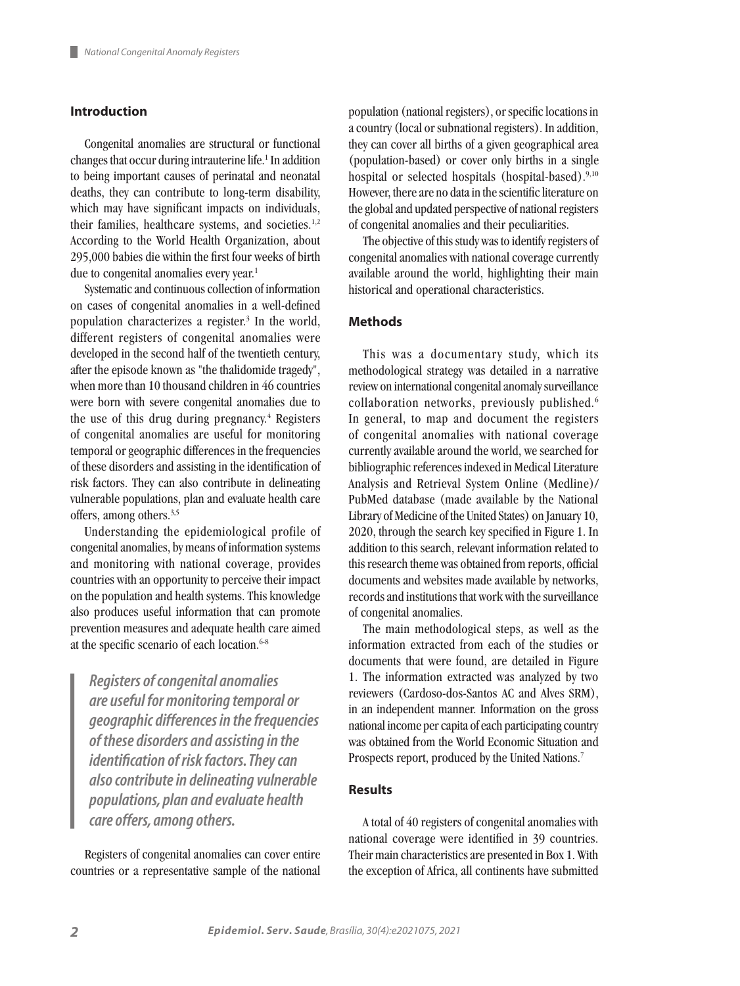# **Introduction**

Congenital anomalies are structural or functional changes that occur during intrauterine life.<sup>1</sup> In addition to being important causes of perinatal and neonatal deaths, they can contribute to long-term disability, which may have significant impacts on individuals, their families, healthcare systems, and societies. $1,2$ According to the World Health Organization, about 295,000 babies die within the first four weeks of birth due to congenital anomalies every year.<sup>1</sup>

Systematic and continuous collection of information on cases of congenital anomalies in a well-defined population characterizes a register.<sup>3</sup> In the world, different registers of congenital anomalies were developed in the second half of the twentieth century, after the episode known as "the thalidomide tragedy", when more than 10 thousand children in 46 countries were born with severe congenital anomalies due to the use of this drug during pregnancy.<sup>4</sup> Registers of congenital anomalies are useful for monitoring temporal or geographic differences in the frequencies of these disorders and assisting in the identification of risk factors. They can also contribute in delineating vulnerable populations, plan and evaluate health care offers, among others.3,5

Understanding the epidemiological profile of congenital anomalies, by means of information systems and monitoring with national coverage, provides countries with an opportunity to perceive their impact on the population and health systems. This knowledge also produces useful information that can promote prevention measures and adequate health care aimed at the specific scenario of each location.<sup>6-8</sup>

*Registers of congenital anomalies are useful for monitoring temporal or geographic differences in the frequencies of these disorders and assisting in the identification of risk factors. They can also contribute in delineating vulnerable populations, plan and evaluate health care offers, among others.*

Registers of congenital anomalies can cover entire countries or a representative sample of the national

population (national registers), or specific locations in a country (local or subnational registers). In addition, they can cover all births of a given geographical area (population-based) or cover only births in a single hospital or selected hospitals (hospital-based).<sup>9,10</sup> However, there are no data in the scientific literature on the global and updated perspective of national registers of congenital anomalies and their peculiarities.

The objective of this study was to identify registers of congenital anomalies with national coverage currently available around the world, highlighting their main historical and operational characteristics.

# **Methods**

This was a documentary study, which its methodological strategy was detailed in a narrative review on international congenital anomaly surveillance collaboration networks, previously published.<sup>6</sup> In general, to map and document the registers of congenital anomalies with national coverage currently available around the world, we searched for bibliographic references indexed in Medical Literature Analysis and Retrieval System Online (Medline)/ PubMed database (made available by the National Library of Medicine of the United States) on January 10, 2020, through the search key specified in Figure 1. In addition to this search, relevant information related to this research theme was obtained from reports, official documents and websites made available by networks, records and institutions that work with the surveillance of congenital anomalies.

The main methodological steps, as well as the information extracted from each of the studies or documents that were found, are detailed in Figure 1. The information extracted was analyzed by two reviewers (Cardoso-dos-Santos AC and Alves SRM), in an independent manner. Information on the gross national income per capita of each participating country was obtained from the World Economic Situation and Prospects report, produced by the United Nations.<sup>7</sup>

# **Results**

A total of 40 registers of congenital anomalies with national coverage were identified in 39 countries. Their main characteristics are presented in Box 1. With the exception of Africa, all continents have submitted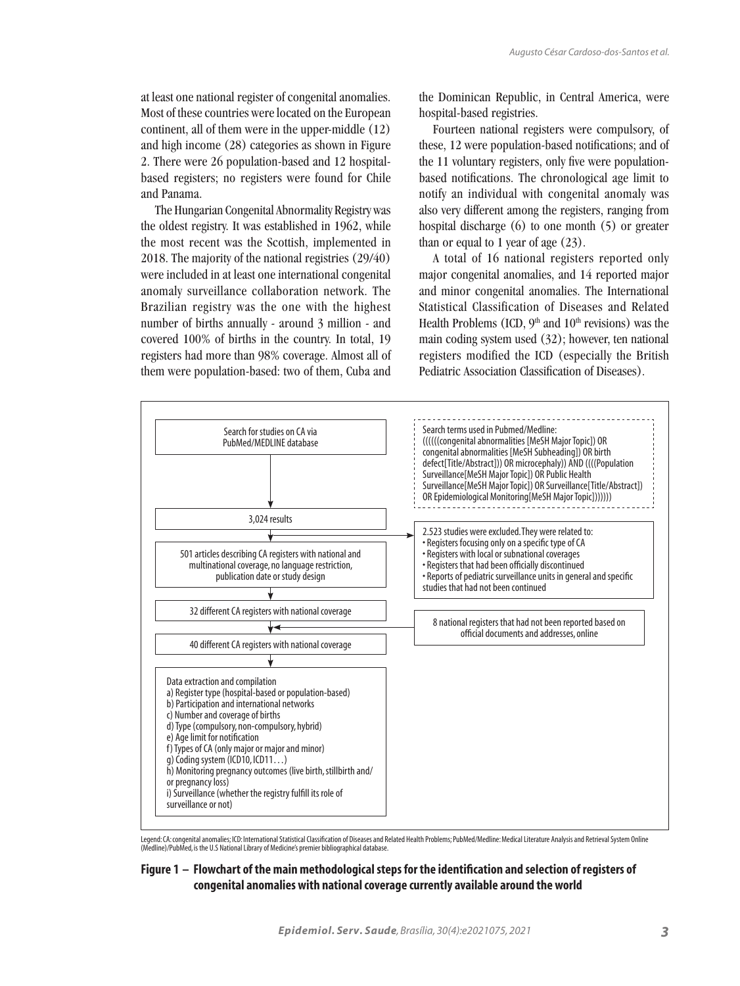at least one national register of congenital anomalies. Most of these countries were located on the European continent, all of them were in the upper-middle (12) and high income (28) categories as shown in Figure 2. There were 26 population-based and 12 hospitalbased registers; no registers were found for Chile and Panama.

The Hungarian Congenital Abnormality Registry was the oldest registry. It was established in 1962, while the most recent was the Scottish, implemented in 2018. The majority of the national registries (29/40) were included in at least one international congenital anomaly surveillance collaboration network. The Brazilian registry was the one with the highest number of births annually - around 3 million - and covered 100% of births in the country. In total, 19 registers had more than 98% coverage. Almost all of them were population-based: two of them, Cuba and

the Dominican Republic, in Central America, were hospital-based registries.

Fourteen national registers were compulsory, of these, 12 were population-based notifications; and of the 11 voluntary registers, only five were populationbased notifications. The chronological age limit to notify an individual with congenital anomaly was also very different among the registers, ranging from hospital discharge (6) to one month (5) or greater than or equal to 1 year of age  $(23)$ .

A total of 16 national registers reported only major congenital anomalies, and 14 reported major and minor congenital anomalies. The International Statistical Classification of Diseases and Related Health Problems (ICD,  $9<sup>th</sup>$  and  $10<sup>th</sup>$  revisions) was the main coding system used (32); however, ten national registers modified the ICD (especially the British Pediatric Association Classification of Diseases).



Legend: CA: congenital anomalies; ICD: International Statistical Classification of Diseases and Related Health Problems; PubMed/Medline: Medical Literature Analysis and Retrieval System Online<br>(Medline)/PubMed, is the U.S

#### **Figure 1 – Flowchart of the main methodological steps for the identification and selection of registers of congenital anomalies with national coverage currently available around the world**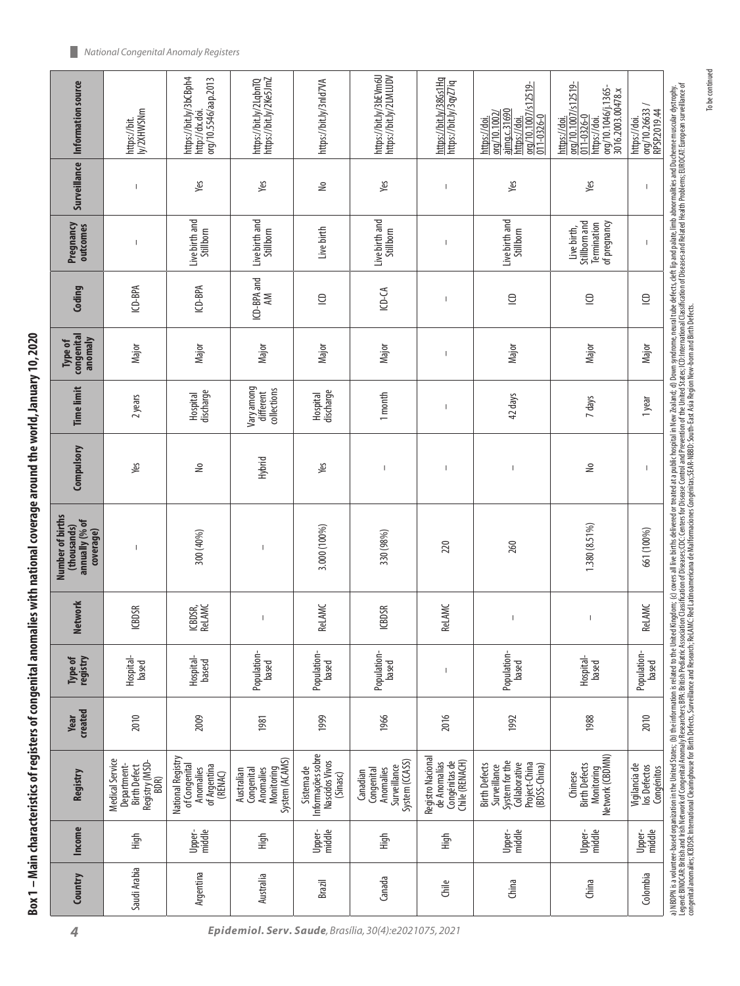| $\frac{1}{2}$ |
|---------------|
| ı             |
| ŧ             |
|               |
|               |
| ă<br>Í        |

| Information source                                             | ly/2XHWSNm<br>https://bit.                                                      | https://bit.ly/3bCBph4<br>org/10.5546/aap.2013<br>http://dx.doi.           | https://bit.ly/2Ke5JmZ<br>https://bit.ly/2LqbnTQ                      | https://bit.ly/3nld7VA                                        | https://bit.ly/3bEVm6U<br>https://bit.ly/2LMLUDV                      | https://bit.ly/38Gs1Hq<br>https://bit.ly/3qyZ7iq                     | org/10.1007/s12519-<br>ajmg.c.31690<br>org/10.1002/<br>011-0326-0<br>https://doi.<br>https://doi.        | org/10.1007/s12519-<br>org/10.1046/j.1365-<br>3016.2003.00478.x<br>011-0326-0<br>https://doi.<br>https://doi.                                                                                                                                                                                                                                                                    | org/10.26633/<br>RPSP.2019.44<br>https://doi. |                                                                                                                                                                                                                                |
|----------------------------------------------------------------|---------------------------------------------------------------------------------|----------------------------------------------------------------------------|-----------------------------------------------------------------------|---------------------------------------------------------------|-----------------------------------------------------------------------|----------------------------------------------------------------------|----------------------------------------------------------------------------------------------------------|----------------------------------------------------------------------------------------------------------------------------------------------------------------------------------------------------------------------------------------------------------------------------------------------------------------------------------------------------------------------------------|-----------------------------------------------|--------------------------------------------------------------------------------------------------------------------------------------------------------------------------------------------------------------------------------|
| Surveillance                                                   |                                                                                 | Yes                                                                        | Yes                                                                   | $\geq$                                                        | yes                                                                   |                                                                      | Yes                                                                                                      | Yes                                                                                                                                                                                                                                                                                                                                                                              | $\overline{1}$                                |                                                                                                                                                                                                                                |
| Pregnancy<br>outcomes                                          |                                                                                 | Live birth and<br>Stillborn                                                | Live birth and<br>Stillborn                                           | Live birth                                                    | Live birth and<br>Stillborn                                           |                                                                      | Live birth and<br>Stillborn                                                                              | Stillborn and<br>of pregnancy<br>Termination<br>Live birth,                                                                                                                                                                                                                                                                                                                      | $\mathbf{I}$                                  |                                                                                                                                                                                                                                |
| Coding                                                         | ICD-BPA                                                                         | ICD-BPA                                                                    | ICD-BPA and<br>ΚŇ                                                     | $\supseteq$                                                   | $ICP-CA$                                                              |                                                                      | $\subseteq$                                                                                              | $\supseteq$                                                                                                                                                                                                                                                                                                                                                                      | $\subseteq$                                   |                                                                                                                                                                                                                                |
| congenital<br>anomaly<br>Type of                               | Major                                                                           | Major                                                                      | Major                                                                 | Major                                                         | Major                                                                 | $\overline{\phantom{a}}$                                             | Major                                                                                                    | Major                                                                                                                                                                                                                                                                                                                                                                            | Major                                         |                                                                                                                                                                                                                                |
| <b>Time limit</b>                                              | 2 years                                                                         | discharge<br>Hospital                                                      | Vary among<br>different<br>collections                                | discharge<br>Hospital                                         | 1 month                                                               |                                                                      | 42 days                                                                                                  | 7 days                                                                                                                                                                                                                                                                                                                                                                           | 1 year                                        |                                                                                                                                                                                                                                |
| Compulsory                                                     | уeк                                                                             | ₹                                                                          | Hybrid                                                                | yes                                                           | J.                                                                    | I                                                                    | $\begin{array}{c} \hline \end{array}$                                                                    | ₽                                                                                                                                                                                                                                                                                                                                                                                | J.                                            |                                                                                                                                                                                                                                |
| Number of births<br>annually (% of<br>(thousands)<br>coverage) |                                                                                 | 300 (40%)                                                                  | Ť                                                                     | 3.000 (100%)                                                  | 330 (98%)                                                             | 220                                                                  | 260                                                                                                      | 1.380 (8.51%)                                                                                                                                                                                                                                                                                                                                                                    | 661 (100%)                                    | a) NBDPN is a volumeer-based organization in tell blied States; (b) the information is related Virtual Med Kingdom; (c) covers all live births delivered or reated at a public hospital in Nev Zealand; d) Down syndome, neura |
| Network                                                        | <b>ICBDSR</b>                                                                   | ICBDSR,<br>Rel.AMC                                                         |                                                                       | <b>ReLAMC</b>                                                 | <b>ICBDSR</b>                                                         | <b>ReLAMC</b>                                                        | $\overline{\phantom{a}}$                                                                                 | $\begin{array}{c} \rule{0pt}{2.5ex} \rule{0pt}{2.5ex} \rule{0pt}{2.5ex} \rule{0pt}{2.5ex} \rule{0pt}{2.5ex} \rule{0pt}{2.5ex} \rule{0pt}{2.5ex} \rule{0pt}{2.5ex} \rule{0pt}{2.5ex} \rule{0pt}{2.5ex} \rule{0pt}{2.5ex} \rule{0pt}{2.5ex} \rule{0pt}{2.5ex} \rule{0pt}{2.5ex} \rule{0pt}{2.5ex} \rule{0pt}{2.5ex} \rule{0pt}{2.5ex} \rule{0pt}{2.5ex} \rule{0pt}{2.5ex} \rule{0$ | <b>ReLAMC</b>                                 |                                                                                                                                                                                                                                |
| Type of<br>registry                                            | Hospital-<br>based                                                              | Hospital-<br>basesd                                                        | Population-<br>based                                                  | Population-<br>based                                          | Population-<br>based                                                  |                                                                      | Population-<br>based                                                                                     | Hospital-<br>based                                                                                                                                                                                                                                                                                                                                                               | Population-<br>based                          |                                                                                                                                                                                                                                |
| <b>created</b><br>Year                                         | 2010                                                                            | 2009                                                                       | 1981                                                                  | 1999                                                          | 1966                                                                  | 2016                                                                 | 1992                                                                                                     | 1988                                                                                                                                                                                                                                                                                                                                                                             | 2010                                          |                                                                                                                                                                                                                                |
| Registry                                                       | Medical Service<br>Registry (MSD-<br>Department-<br><b>Birth Defect</b><br>BDR) | National Registry<br>of Congenital<br>of Argentina<br>Anomalies<br>(RENAC) | System (ACAMS)<br>Monitoring<br>Anomalies<br>Congenital<br>Australian | Informações sobre<br>Nascidos Vivos<br>Sistema de<br>(Sinasc) | System (CCASS)<br>Surveillance<br>Anomalies<br>Congenital<br>Canadian | Registro Nacional<br>Congénitas de<br>Chile (RENACH)<br>de Anomalías | System for the<br>Collaborative<br>Project-China<br><b>Birth Defects</b><br>(BDSS-China)<br>Surveillance | Network (CBDMN)<br><b>Birth Defects</b><br>Monitoring<br>Chinese                                                                                                                                                                                                                                                                                                                 | Vigilancia de<br>los Defectos<br>Congénitos   |                                                                                                                                                                                                                                |
| <b>Income</b>                                                  | High                                                                            | middle<br>Upper-                                                           | High                                                                  | middle<br>Upper-                                              | High                                                                  | High                                                                 | Upper-<br>middle                                                                                         | middle<br>Upper-                                                                                                                                                                                                                                                                                                                                                                 | Upper-<br>middle                              |                                                                                                                                                                                                                                |
| Country                                                        | Saudi Arabia                                                                    | Argentina                                                                  | Australia                                                             | Brazil                                                        | Canada                                                                | Ë                                                                    | China                                                                                                    | China                                                                                                                                                                                                                                                                                                                                                                            | Colombia                                      |                                                                                                                                                                                                                                |

*National Congenital Anomaly Registers*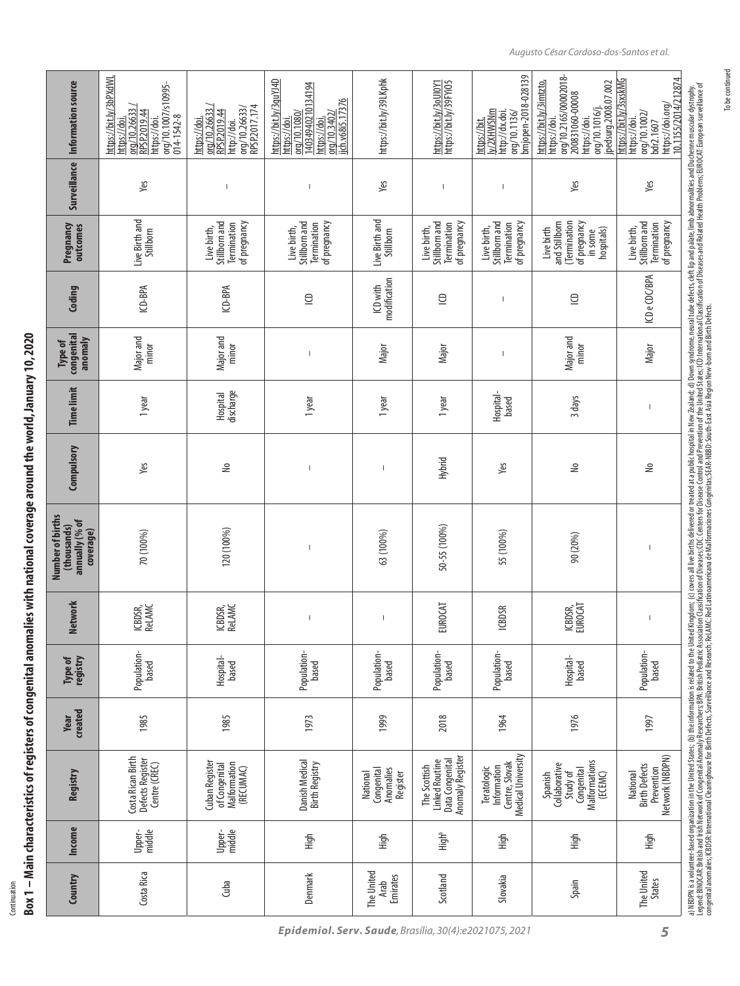Box 1 – Main characteristics of registers of congenital anomalies with national coverage around the world, January 10, 2020 **Box 1 – Main characteristics of registers of congenital anomalies with national coverage around the world, January 10, 2020** Continuation Continuation

| Information source                                             | https://bit.ly/3bPXdWL<br>org/10.1007/s10995-<br>org/10.26633<br>RPSP.2019.44<br>014-1542-8<br>https://doi.<br>https://doi | RPSP.2017.174<br>org/10.26633/<br>org/10.26633<br>RPSP.2019.44<br>https://doi<br>http://doi. | https://bit.ly/3quYJ4D<br>14034940210134194<br>ijch.v68i5.17376<br>orq/10.1080/<br>org/10.3402/<br>https://doi.<br>https://doi | https://bit.ly/39LKphk                          | https://bit.ly/3oUl0Y1<br>https://bit.ly/39FYi05                             | bmjopen-2018-028139<br>ly/2XHWSNm<br>http://dx.doi.<br>org/10.1136/<br>https://bit. | org/10.2165/00002018-<br>jpedsurg.2008.07.002<br>https://bit.ly/3imtzto,<br>200831060-00008<br>org/10.1016/j.<br>https://doi.<br>https://doi | https://bit.ly/3sxskMG<br>10.1155/2014/212874<br>https://doi.org/<br>org/10.1002/<br>https://doi.<br>bdr2.1607 |
|----------------------------------------------------------------|----------------------------------------------------------------------------------------------------------------------------|----------------------------------------------------------------------------------------------|--------------------------------------------------------------------------------------------------------------------------------|-------------------------------------------------|------------------------------------------------------------------------------|-------------------------------------------------------------------------------------|----------------------------------------------------------------------------------------------------------------------------------------------|----------------------------------------------------------------------------------------------------------------|
| Surveillance                                                   | Yes                                                                                                                        | $\begin{array}{c} \end{array}$                                                               | $\overline{\phantom{a}}$                                                                                                       | Yes                                             | T                                                                            |                                                                                     | Yes                                                                                                                                          | Yes                                                                                                            |
| Pregnancy<br>outcomes                                          | Live Birth and<br>Stillborn                                                                                                | Stillborn and<br>of pregnancy<br>Termination<br>Live birth,                                  | Stillborn and<br>of pregnancy<br>Termination<br>Live birth,                                                                    | Live Birth and<br>Stillborn                     | Stillborn and<br>of pregnancy<br>Termination<br>Live birth,                  | Stillborn and<br>of pregnancy<br>Termination<br>Live birth,                         | (Termination<br>and Stillborn<br>of pregnancy<br>Live birth<br>hospitals)<br>in some                                                         | of pregnancy<br>Stillborn and<br>Termination<br>Live birth,                                                    |
| Coding                                                         | ICD-BPA                                                                                                                    | ICD-BPA                                                                                      | $\Xi$                                                                                                                          | modification<br>ICD with                        | $\Xi$                                                                        |                                                                                     | $\supseteq$                                                                                                                                  | ICD e CDC/BPA                                                                                                  |
| congenital<br>anomaly<br>Type of                               | Major and<br>minor                                                                                                         | Major and<br>minor                                                                           |                                                                                                                                | Major                                           | Major                                                                        |                                                                                     | Major and<br>minor                                                                                                                           | Major                                                                                                          |
| <b>Time limit</b>                                              | 1 year                                                                                                                     | discharge<br>Hospital                                                                        | 1 year                                                                                                                         | 1 year                                          | 1 year                                                                       | Hospital-<br>based                                                                  | 3 days                                                                                                                                       | $\begin{array}{c} \end{array}$                                                                                 |
| Compulsory                                                     | Yes                                                                                                                        | ⋛                                                                                            |                                                                                                                                |                                                 | Hybrid                                                                       | Yes                                                                                 | ి                                                                                                                                            | ⋛                                                                                                              |
| Number of births<br>annually (% of<br>(thousands)<br>coverage) | 70 (100%)                                                                                                                  | 120 (100%)                                                                                   | $\overline{\phantom{a}}$                                                                                                       | 63 (100%)                                       | 50-55 (100%)                                                                 | 55 (100%)                                                                           | 90 (20%)                                                                                                                                     | $\overline{\phantom{a}}$                                                                                       |
| <b>Network</b>                                                 | ICBDSR,<br>Rel.AMC                                                                                                         | ICBDSR,<br>Relamc                                                                            |                                                                                                                                | $\mathbf{I}$                                    | <b>EUROCAT</b>                                                               | <b>BDSR</b><br>≚                                                                    | ICBDSR,<br>EUROCAT                                                                                                                           | $\begin{array}{c} \end{array}$                                                                                 |
| registry<br>Type of                                            | Population-<br>based                                                                                                       | Hospital-<br>based                                                                           | Population-<br>based                                                                                                           | Population-<br>based                            | Population-<br>based                                                         | Population-<br>based                                                                | Hospital-<br>based                                                                                                                           | Population-<br>based                                                                                           |
| created<br>Year                                                | 1985                                                                                                                       | 1985                                                                                         | 1973                                                                                                                           | 1999                                            | 2018                                                                         | 1964                                                                                | 1976                                                                                                                                         | 1997                                                                                                           |
| Registry                                                       | Costa Rican Birth<br>Defects Register<br>Centre (CREC)                                                                     | Cuban Register<br>Malformation<br>of Congenital<br>(RECUMAC)                                 | Danish Medical<br><b>Birth Registry</b>                                                                                        | Anomalies<br>Congenital<br>National<br>Register | Data Congenital<br>Anomaly Register<br><b>Linked Routine</b><br>The Scottish | Medical University<br>Centre, Slovak<br>Information<br>Teratologic                  | Malformations<br>Collaborative<br>Congenital<br>Study of<br>(ECEMC)<br>Spanish                                                               | Network (NBDPN)<br><b>Birth Defects</b><br>Prevention<br>National                                              |
| <b>Income</b>                                                  | Upper-<br>middle                                                                                                           | middle<br>Upper-                                                                             | High                                                                                                                           | High                                            | High <sup>b</sup>                                                            | High                                                                                | High                                                                                                                                         | High                                                                                                           |
| Country                                                        | Costa Rica                                                                                                                 | duba                                                                                         | Denmark                                                                                                                        | The United<br><b>Emirates</b><br>Arab           | Scotland                                                                     | Slovakia                                                                            | Spain                                                                                                                                        | The United<br><b>States</b>                                                                                    |

To be continued

To be continued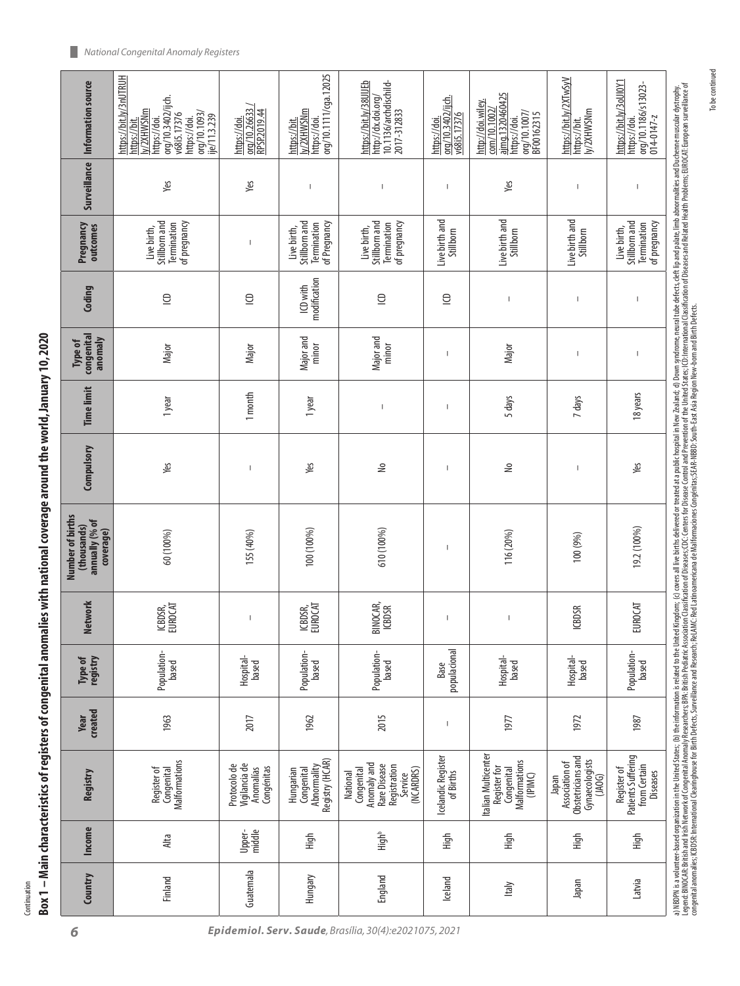Continuation

|      | I                |
|------|------------------|
|      |                  |
|      |                  |
|      |                  |
|      |                  |
|      |                  |
|      |                  |
|      |                  |
|      |                  |
|      |                  |
|      |                  |
|      |                  |
|      |                  |
|      |                  |
|      |                  |
|      |                  |
|      |                  |
|      |                  |
|      |                  |
|      |                  |
|      |                  |
|      |                  |
|      |                  |
|      |                  |
|      |                  |
|      |                  |
|      |                  |
|      |                  |
|      |                  |
|      |                  |
|      |                  |
|      |                  |
|      |                  |
|      |                  |
| ׇ֚֬֓ | Ī<br>I           |
|      | Box <sub>1</sub> |
|      |                  |

020

| Information source                                             | https://bit.ly/3nUTRUH<br>org/10.3402/ijch.<br>ly/2XHWSNm<br>org/10.1093/<br>v68i5.17376<br>je/11.3.239<br>https://doi.<br>https://doi.<br>https://bit. | org/10.26633<br>RPSP.2019.44<br>https://doi.             | org/10.1111/cga.12025<br>y/2XHWSNm<br>https://doi.<br>https://bit. | https://bit.ly/38UIJEb<br>10.1136/archdischild-<br>http://dx.doi.org/<br>2017-312833          | org/10.3402/ijch.<br>v68i5.17376<br>https://doi. | ajmg.1320460425<br>http://doi.wiley.<br>com/10.1002/<br>org/10.1007/<br>BF00162315<br>https://doi. | https://bit.ly/2XTwSyV<br>ly/2XHWSNm<br>https://bit.                     | https://bit.ly/3oUl0Y1<br>org/10.1186/s13023-<br>https://doi.<br>$014 - 0147 - z$ |
|----------------------------------------------------------------|---------------------------------------------------------------------------------------------------------------------------------------------------------|----------------------------------------------------------|--------------------------------------------------------------------|-----------------------------------------------------------------------------------------------|--------------------------------------------------|----------------------------------------------------------------------------------------------------|--------------------------------------------------------------------------|-----------------------------------------------------------------------------------|
| Surveillance                                                   | yes                                                                                                                                                     | yes                                                      | $\overline{\phantom{a}}$                                           | $\mathbf{I}$                                                                                  | $\overline{\phantom{a}}$                         | Yes                                                                                                | $\overline{\phantom{a}}$                                                 | $\mathsf{I}$                                                                      |
| Pregnancy<br>outcomes                                          | Stillborn and<br>of pregnancy<br>Termination<br>Live birth,                                                                                             | $\overline{\phantom{a}}$                                 | Stillborn and<br>of Pregnancy<br>Termination<br>Live birth,        | Stillborn and<br>Termination<br>of pregnancy<br>Live birth,                                   | Live birth and<br>Stillborn                      | Live birth and<br>Stillborn                                                                        | Live birth and<br>Stillborn                                              | Stillborn and<br>of pregnancy<br>Termination<br>Live birth,                       |
| Coding                                                         | $\supseteq$                                                                                                                                             | $\supseteq$                                              | modification<br>ICD with                                           | $\subseteq$                                                                                   | $\supseteq$                                      | $\overline{\phantom{a}}$                                                                           | $\overline{\phantom{a}}$                                                 |                                                                                   |
| congenital<br>anomaly<br>Type of                               | Major                                                                                                                                                   | Major                                                    | Major and<br>minor                                                 | Major and<br>minor                                                                            | $\overline{\phantom{a}}$                         | Major                                                                                              | $\overline{\phantom{a}}$                                                 | $\overline{\phantom{a}}$                                                          |
| <b>Time limit</b>                                              | 1 year                                                                                                                                                  | 1 month                                                  | 1 year                                                             | $\mathsf I$                                                                                   | $\overline{\phantom{a}}$                         | 5 days                                                                                             | 7 days                                                                   | 18 years                                                                          |
| Compulsory                                                     | Yes                                                                                                                                                     |                                                          | yes                                                                | ⋛                                                                                             | $\overline{\phantom{a}}$                         | ٤                                                                                                  |                                                                          | уeк                                                                               |
| Number of births<br>annually (% of<br>(thousands)<br>coverage) | 60 (100%)                                                                                                                                               | 155 (40%)                                                | 100 (100%)                                                         | 610 (100%)                                                                                    | $\overline{\phantom{a}}$                         | 116 (20%)                                                                                          | 100 (9%)                                                                 | 19.2 (100%)                                                                       |
| <b>Network</b>                                                 | ICBDSR,<br>EUROCAT                                                                                                                                      | $\overline{\phantom{a}}$                                 | ICBDSR,<br>EUROCAT                                                 | BINOCAR,<br><b>ICBDSR</b>                                                                     | $\overline{\phantom{a}}$                         | $\overline{\phantom{a}}$                                                                           | <b>ICBDSR</b>                                                            | EUROCAT                                                                           |
| Type of<br>registry                                            | Population-<br>based                                                                                                                                    | Hospital-<br>based                                       | Population-<br>based                                               | Population-<br>based                                                                          | populacional<br>Base                             | Hospital-<br>based                                                                                 | Hospital-<br>based                                                       | Population-<br>based                                                              |
| created<br>Year                                                | 1963                                                                                                                                                    | 2017                                                     | 1962                                                               | 2015                                                                                          |                                                  | 1977                                                                                               | 1972                                                                     | 1987                                                                              |
| Registry                                                       | Malformations<br>Register of<br>Conqenital                                                                                                              | Vigilancia de<br>Protocolo de<br>Congénitas<br>Anomalías | Registry (HCAR)<br>Abnormality<br>Hungarian<br>Congenital          | Anomaly and<br>Rare Disease<br>Registration<br>(NCARDRS)<br>Conqenital<br>Service<br>National | Icelandic Register<br>of Births                  | Italian Multicenter<br>Malformations<br>Register for<br>Congenital<br>(IPIMC)                      | Obstetricians and<br>Gynaecologists<br>Association of<br>Iapan<br>(1A0G) | Patients Suffering<br>from Certain<br>Register of<br><b>Diseases</b>              |
| <b>Income</b>                                                  | Alta                                                                                                                                                    | middle<br>Upper-                                         | High                                                               | High <sup>b</sup>                                                                             | High                                             | High                                                                                               | High                                                                     | High                                                                              |
| Country                                                        | Finland                                                                                                                                                 | Guatemala                                                | Hungary                                                            | England                                                                                       | Iceland                                          | Italy                                                                                              | <b>Iapan</b>                                                             | Latvia                                                                            |

*6 Epidemiol. Serv. Saude, Brasília, 30(4):e2021075, 2021*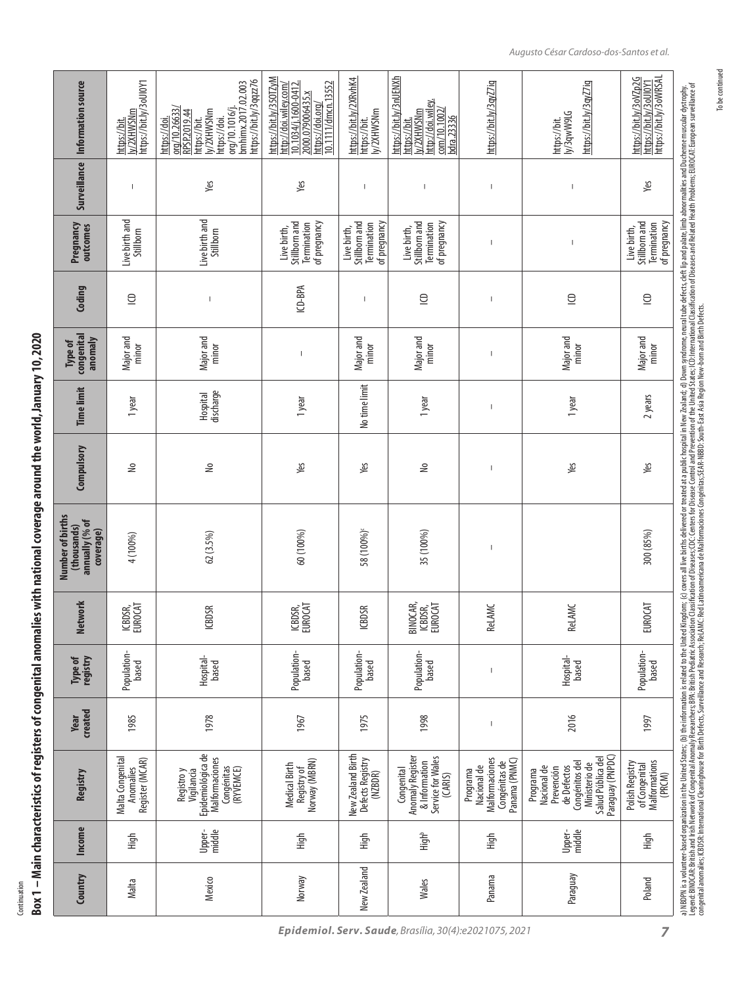Box 1 – Main characteristics of registers of congenital anomalies with national coverage around the world, January 10, 2020 **Box 1 – Main characteristics of registers of congenital anomalies with national coverage around the world, January 10, 2020** Continuation Continuation

| Information source                                             | https://bit.ly/3oUI0Y1<br>ly/2XHWSNm<br>https://bit. | https://bit.ly/3qqzz76<br>bmhimx.2017.02.003<br>org/10.26633/<br>org/10.1016/j.<br>ly/2XHWSNm<br>RPSP.2019.44<br>https://doi.<br>https://bit.<br>https://doi. | https://bit.ly/350TZyM<br>10.1034/j.1600-0412.<br>10.1111/dmcn.13552<br>http://doi.wiley.com/<br>2000.079006435.x<br>https://doi.org/ | https://bit.ly/2XRvhK4<br>https://bit.<br>ly/2XHWSNm        | https://bit.ly/3nUENXh<br>http://doi.wiley.<br>$\frac{\text{com}}{10.1002}$<br>ly/2XHWSNm<br>bdra.23336<br>https://bit. | https://bit.ly/3qyZ7iq                                                      | https://bit.ly/3qyZ7iq<br>ly/3qwW9LG<br>https://bit.                                                                             | https://bit.ly/3oVZp2G<br>https://bit.ly/3oWRSAL<br>https://bit.ly/3oUl0Y1 |
|----------------------------------------------------------------|------------------------------------------------------|---------------------------------------------------------------------------------------------------------------------------------------------------------------|---------------------------------------------------------------------------------------------------------------------------------------|-------------------------------------------------------------|-------------------------------------------------------------------------------------------------------------------------|-----------------------------------------------------------------------------|----------------------------------------------------------------------------------------------------------------------------------|----------------------------------------------------------------------------|
| <b>Surveillance</b>                                            |                                                      | Yes                                                                                                                                                           | Yes                                                                                                                                   | $\mathsf{I}$                                                | $\mathbf{I}$                                                                                                            | $\overline{\phantom{a}}$                                                    | $\overline{\phantom{a}}$                                                                                                         | Yes                                                                        |
| Pregnancy<br>outcomes                                          | Live birth and<br>Stillborn                          | Live birth and<br>Stillborn                                                                                                                                   | Stillborn and<br>Termination<br>of pregnancy<br>Live birth,                                                                           | Stillborn and<br>of pregnancy<br>Termination<br>Live birth, | Stillborn and<br>of pregnancy<br>Termination<br>Live birth,                                                             | $\overline{1}$                                                              | $\sf I$                                                                                                                          | Stillborn and<br>of pregnancy<br>Termination<br>Live birth,                |
| Coding                                                         | $\supseteq$                                          | $\mathbf{I}$                                                                                                                                                  | ICD-BPA                                                                                                                               | $\mathsf{I}$                                                | $\supseteq$                                                                                                             | $\overline{1}$                                                              | $\supseteq$                                                                                                                      | $\supseteq$                                                                |
| congenital<br>anomaly<br>Type of                               | Major and<br>minor                                   | Major and<br>minor                                                                                                                                            | I                                                                                                                                     | Major and<br>minor                                          | Major and<br>minor                                                                                                      | $\overline{\phantom{a}}$                                                    | Major and<br>minor                                                                                                               | Major and<br>minor                                                         |
| <b>Time limit</b>                                              | 1 year                                               | discharge<br>Hospital                                                                                                                                         | 1 year                                                                                                                                | No time limit                                               | 1 year                                                                                                                  | $\overline{\phantom{a}}$                                                    | 1 year                                                                                                                           | 2 years                                                                    |
| Compulsory                                                     | ş                                                    | €                                                                                                                                                             | Yes                                                                                                                                   | Yes                                                         | ২                                                                                                                       | $\overline{1}$                                                              | Yes                                                                                                                              | Yes                                                                        |
| Number of births<br>annually (% of<br>(thousands)<br>coverage) | 4 (100%)                                             | 62(3.5%)                                                                                                                                                      | 60 (100%)                                                                                                                             | 58 (100%)                                                   | 35 (100%)                                                                                                               | $\overline{\phantom{a}}$                                                    |                                                                                                                                  | 300 (85%)                                                                  |
| <b>Network</b>                                                 | ICBDSR,<br>EUROCAT                                   | <b>ICBDSR</b>                                                                                                                                                 | ICBDSR,<br>EUROCAT                                                                                                                    | <b>ICBDSR</b>                                               | BINOCAR,<br>ICBDSR,<br>EUROCAT                                                                                          | <b>ReLAMC</b>                                                               | <b>ReLAMC</b>                                                                                                                    | <b>EUROCAT</b>                                                             |
| Type of<br>registry                                            | Population-<br>based                                 | Hospital-<br>based                                                                                                                                            | Population-<br>based                                                                                                                  | Population-<br>based                                        | Population-<br>based                                                                                                    | $\overline{\phantom{a}}$                                                    | Hospital-<br>based                                                                                                               | Population-<br>based                                                       |
| created<br>Year                                                | 1985                                                 | 1978                                                                                                                                                          | 1967                                                                                                                                  | 1975                                                        | 1998                                                                                                                    | $\begin{array}{c} \end{array}$                                              | 2016                                                                                                                             | 1997                                                                       |
| Registry                                                       | Malta Congenital<br>Register (MCAR)<br>Anomalies     | Epidemiológica de<br>Malformaciones<br>Congénitas<br>(RYVEMCE)<br>Vigilancia<br>Registro y                                                                    | Norway (MBRN)<br>Medical Birth<br>Registry of                                                                                         | New Zealand Birth<br>Defects Registry<br>(NZBDR)            | Anomaly Register<br>Service for Wales<br>& Information<br>Congenital<br>(CARIS)                                         | Malformaciones<br>Panama (PNMC)<br>Congénitas de<br>Nacional de<br>Programa | Paraguay (PNPDC)<br>Salud Pública del<br>Congénitos del<br>Ministerio de<br>Nacional de<br>de Defectos<br>Prevención<br>Programa | Malformations<br>Polish Registry<br>of Congenital<br>(PRCM)                |
| <b>Income</b>                                                  | High                                                 | middle<br>Upper-                                                                                                                                              | High                                                                                                                                  | High                                                        | High <sup>b</sup>                                                                                                       | High                                                                        | Upper-<br>middle                                                                                                                 | High                                                                       |
| Country                                                        | Malta                                                | Mexico                                                                                                                                                        | Norway                                                                                                                                | New Zealand                                                 | Wales                                                                                                                   | Panama                                                                      | Paraguay                                                                                                                         | Poland                                                                     |

To be continued

To be continued

*Epidemiol. Serv. Saude, Brasília, 30(4):e2021075, 2021*

*7*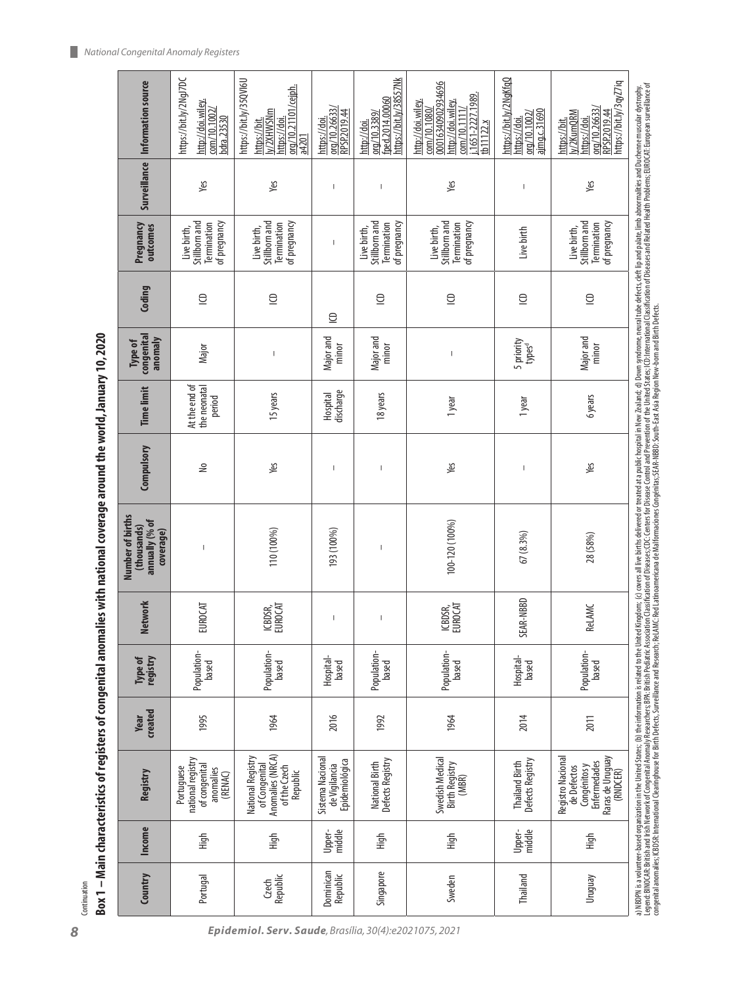| Information source                                             | https://bit.ly/2NgJ7DC<br>http://doi.wiley.<br>$\frac{\text{com}}{10.1002}$<br>bdra.23530 | https://bit.ly/35QVI6U<br>org/10.21101/cejph.<br>y/2XHWSNm<br>https://bit.<br>https://doi<br>a4201 | org/10.26633/<br>RPSP.2019.44<br>nttps://doi.       | nttps://bit.ly/38S57Nk<br>fped.2014.00060<br>org/10.3389/<br>http://doi. | 00016340902934696<br>1651-2227.1989.<br>http://doi.wiley.<br>http://doi.wiley.<br>$\frac{100}{10.1080}$<br>com/10.1111/<br>tb11122.x | https://bit.ly/2NqKfqQ<br>ajmq.c.31690<br>org/10.1002,<br>nttps://doi | https://bit.ly/3qyZ7iq<br>org/10.26633/<br>RPSP.2019.44<br>v/2KumQRM<br>nttps://doi.<br>nttps://bit. | a) NBDPN is a volumeer-based oganization in the United States; (b) the information is related Minded Kingdom; (c) covers allive birth selviced or teated are plustive at a public head and and and and and the defects, defit |
|----------------------------------------------------------------|-------------------------------------------------------------------------------------------|----------------------------------------------------------------------------------------------------|-----------------------------------------------------|--------------------------------------------------------------------------|--------------------------------------------------------------------------------------------------------------------------------------|-----------------------------------------------------------------------|------------------------------------------------------------------------------------------------------|-------------------------------------------------------------------------------------------------------------------------------------------------------------------------------------------------------------------------------|
| Surveillance                                                   | Yes                                                                                       | Yes                                                                                                | $\overline{\phantom{a}}$                            | $\overline{\phantom{a}}$                                                 | Yes                                                                                                                                  | I                                                                     | Yes                                                                                                  |                                                                                                                                                                                                                               |
| Pregnancy<br>outcomes                                          | Stillborn and<br>Termination<br>of pregnancy<br>Live birth,                               | Stillborn and<br>of pregnancy<br>Termination<br>Live birth,                                        | $\overline{\phantom{a}}$                            | Stillborn and<br>of pregnancy<br>Termination<br>Live birth,              | Stillborn and<br>Termination<br>of pregnancy<br>Live birth,                                                                          | Live birth                                                            | Stillborn and<br>of pregnancy<br>Termination<br>Live birth,                                          |                                                                                                                                                                                                                               |
| Coding                                                         | $\subseteq$                                                                               | $\supseteq$                                                                                        | $\supseteq$                                         | $\subseteq$                                                              | $\supseteq$                                                                                                                          | $\subseteq$                                                           | $\supseteq$                                                                                          |                                                                                                                                                                                                                               |
| congenital<br>anomaly<br>Type of                               | Major                                                                                     | $\overline{\phantom{a}}$                                                                           | Major and<br>minor                                  | Major and<br>minor                                                       | $\overline{\phantom{a}}$                                                                                                             | 5 priority<br>types <sup>d</sup>                                      | Major and<br>minor                                                                                   |                                                                                                                                                                                                                               |
| <b>Time limit</b>                                              | At the end of<br>the neonatal<br>period                                                   | 15 years                                                                                           | discharge<br><b>Hospital</b>                        | 18 years                                                                 | 1 year                                                                                                                               | 1 year                                                                | 6 years                                                                                              |                                                                                                                                                                                                                               |
| Compulsory                                                     | €                                                                                         | yes                                                                                                | I                                                   |                                                                          | yes                                                                                                                                  |                                                                       | yes                                                                                                  |                                                                                                                                                                                                                               |
| Number of births<br>annually (% of<br>(thousands)<br>coverage) | I                                                                                         | 110 (100%)                                                                                         | 193 (100%)                                          | J.                                                                       | 100-120 (100%)                                                                                                                       | 67(8.3%)                                                              | 28 (58%)                                                                                             |                                                                                                                                                                                                                               |
| Network                                                        | <b>EUROCAT</b>                                                                            | ICBDSR,<br>EUROCAT                                                                                 | $\overline{\phantom{a}}$                            |                                                                          | ICBDSR,<br>EUROCAT                                                                                                                   | R-NBBD<br>SEAI                                                        | <b>ReLAMC</b>                                                                                        |                                                                                                                                                                                                                               |
| Type of<br>registry                                            | Population-<br>based                                                                      | Population-<br>based                                                                               | Hospital-<br>based                                  | Population-<br>based                                                     | Population-<br>based                                                                                                                 | Hospital-<br>based                                                    | Population-<br>based                                                                                 |                                                                                                                                                                                                                               |
| <b>Created</b><br><b>Year</b>                                  | 1995                                                                                      | 1964                                                                                               | 2016                                                | 1992                                                                     | 1964                                                                                                                                 | 2014                                                                  | 2011                                                                                                 |                                                                                                                                                                                                                               |
| Registry                                                       | national registry<br>of congenital<br>Portuguese<br>anomalies<br>(RENAC)                  | Anomalies (NRCA)<br>National Registry<br>of Congenital<br>of the Czech<br>Republic                 | Sistema Nacional<br>Epidemiológica<br>de Vigilancia | Defects Registry<br>National Birth                                       | Swedish Medical<br><b>Birth Registry</b><br>(MBR)                                                                                    | Defects Registry<br><b>Thailand Birth</b>                             | Registro Nacional<br>Raras de Uruguay<br>Enfermedades<br>Congénitos y<br>de Defectos<br>(RNDCER)     |                                                                                                                                                                                                                               |
| <b>Income</b>                                                  | High                                                                                      | High                                                                                               | middle<br>Upper-                                    | High                                                                     | High                                                                                                                                 | middle<br>Upper-                                                      | High                                                                                                 |                                                                                                                                                                                                                               |
| Country                                                        | Portugal                                                                                  | Republic<br>Czech                                                                                  | Dominican<br>Republic                               | Singapore                                                                | Sweden                                                                                                                               | Thailand                                                              | <b>Uruguay</b>                                                                                       |                                                                                                                                                                                                                               |
|                                                                |                                                                                           |                                                                                                    |                                                     |                                                                          |                                                                                                                                      |                                                                       |                                                                                                      |                                                                                                                                                                                                                               |

Box 1 – Main characteristics of registers of congenital anomalies with national coverage around the world, January 10, 2020 **Box 1 – Main characteristics of registers of congenital anomalies with national coverage around the world, January 10, 2020**

Continuation Continuation

*8 Epidemiol. Serv. Saude, Brasília, 30(4):e2021075, 2021*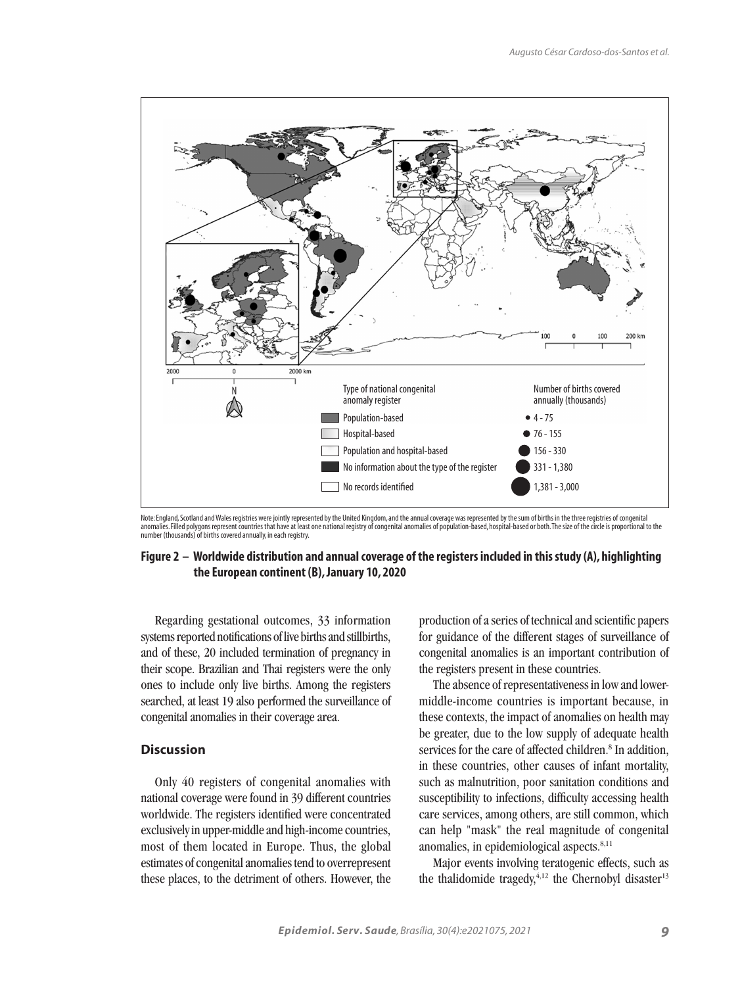

Note: England, Scotland and Wales registries were jointly represented by the United Kingdom, and the annual coverage was represented by the sum of births in the three registries of congenital<br>anomalies. Filled polygons rep

# **Figure 2 – Worldwide distribution and annual coverage of the registers included in this study (A), highlighting the European continent (B), January 10, 2020**

Regarding gestational outcomes, 33 information systems reported notifications of live births and stillbirths, and of these, 20 included termination of pregnancy in their scope. Brazilian and Thai registers were the only ones to include only live births. Among the registers searched, at least 19 also performed the surveillance of congenital anomalies in their coverage area.

# **Discussion**

Only 40 registers of congenital anomalies with national coverage were found in 39 different countries worldwide. The registers identified were concentrated exclusively in upper-middle and high-income countries, most of them located in Europe. Thus, the global estimates of congenital anomalies tend to overrepresent these places, to the detriment of others. However, the production of a series of technical and scientific papers for guidance of the different stages of surveillance of congenital anomalies is an important contribution of the registers present in these countries.

The absence of representativeness in low and lowermiddle-income countries is important because, in these contexts, the impact of anomalies on health may be greater, due to the low supply of adequate health services for the care of affected children.<sup>8</sup> In addition, in these countries, other causes of infant mortality, such as malnutrition, poor sanitation conditions and susceptibility to infections, difficulty accessing health care services, among others, are still common, which can help "mask" the real magnitude of congenital anomalies, in epidemiological aspects.<sup>8,11</sup>

Major events involving teratogenic effects, such as the thalidomide tragedy, $4,12$  the Chernobyl disaster<sup>13</sup>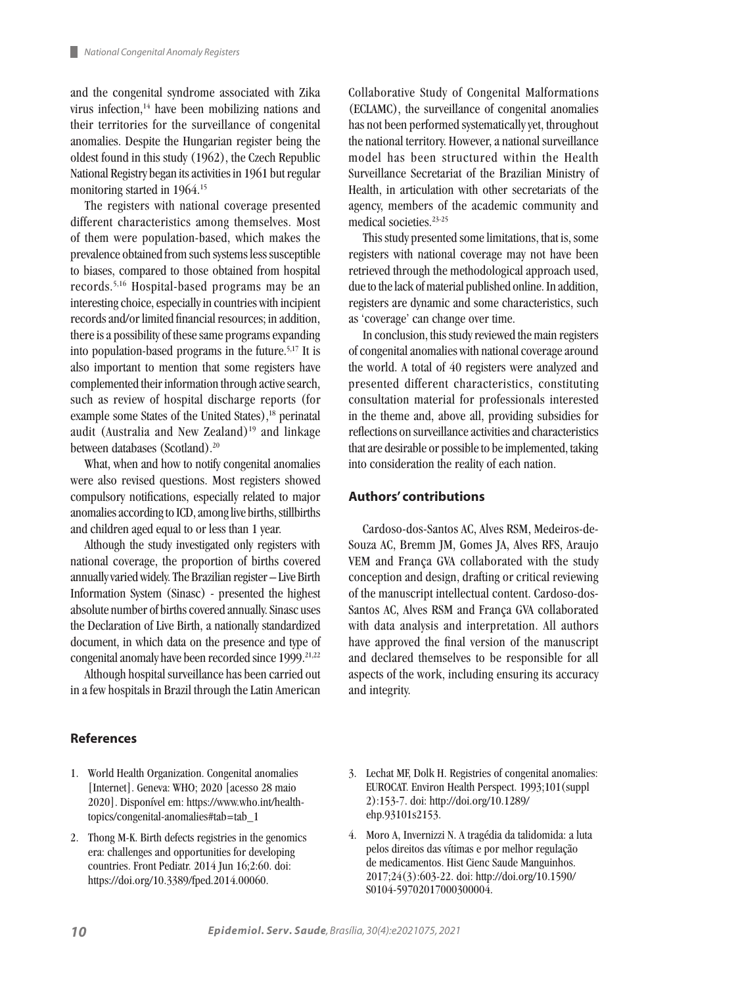and the congenital syndrome associated with Zika virus infection,14 have been mobilizing nations and their territories for the surveillance of congenital anomalies. Despite the Hungarian register being the oldest found in this study (1962), the Czech Republic National Registry began its activities in 1961 but regular monitoring started in 1964.15

The registers with national coverage presented different characteristics among themselves. Most of them were population-based, which makes the prevalence obtained from such systems less susceptible to biases, compared to those obtained from hospital records.5,16 Hospital-based programs may be an interesting choice, especially in countries with incipient records and/or limited financial resources; in addition, there is a possibility of these same programs expanding into population-based programs in the future.5,17 It is also important to mention that some registers have complemented their information through active search, such as review of hospital discharge reports (for example some States of the United States),<sup>18</sup> perinatal audit (Australia and New Zealand) $19$  and linkage between databases (Scotland).20

What, when and how to notify congenital anomalies were also revised questions. Most registers showed compulsory notifications, especially related to major anomalies according to ICD, among live births, stillbirths and children aged equal to or less than 1 year.

Although the study investigated only registers with national coverage, the proportion of births covered annually varied widely. The Brazilian register – Live Birth Information System (Sinasc) - presented the highest absolute number of births covered annually. Sinasc uses the Declaration of Live Birth, a nationally standardized document, in which data on the presence and type of congenital anomaly have been recorded since 1999.<sup>21,22</sup>

Although hospital surveillance has been carried out in a few hospitals in Brazil through the Latin American

# **References**

- 1. World Health Organization. Congenital anomalies [Internet]. Geneva: WHO; 2020 [acesso 28 maio 2020]. Disponível em: https://www.who.int/healthtopics/congenital-anomalies#tab=tab\_1
- 2. Thong M-K. Birth defects registries in the genomics era: challenges and opportunities for developing countries. Front Pediatr. 2014 Jun 16;2:60. doi: https://doi.org/10.3389/fped.2014.00060.

Collaborative Study of Congenital Malformations (ECLAMC), the surveillance of congenital anomalies has not been performed systematically yet, throughout the national territory. However, a national surveillance model has been structured within the Health Surveillance Secretariat of the Brazilian Ministry of Health, in articulation with other secretariats of the agency, members of the academic community and medical societies.<sup>23-25</sup>

This study presented some limitations, that is, some registers with national coverage may not have been retrieved through the methodological approach used, due to the lack of material published online. In addition, registers are dynamic and some characteristics, such as 'coverage' can change over time.

In conclusion, this study reviewed the main registers of congenital anomalies with national coverage around the world. A total of 40 registers were analyzed and presented different characteristics, constituting consultation material for professionals interested in the theme and, above all, providing subsidies for reflections on surveillance activities and characteristics that are desirable or possible to be implemented, taking into consideration the reality of each nation.

#### **Authors' contributions**

Cardoso-dos-Santos AC, Alves RSM, Medeiros-de-Souza AC, Bremm JM, Gomes JA, Alves RFS, Araujo VEM and França GVA collaborated with the study conception and design, drafting or critical reviewing of the manuscript intellectual content. Cardoso-dos-Santos AC, Alves RSM and França GVA collaborated with data analysis and interpretation. All authors have approved the final version of the manuscript and declared themselves to be responsible for all aspects of the work, including ensuring its accuracy and integrity.

- 3. Lechat MF, Dolk H. Registries of congenital anomalies: EUROCAT. Environ Health Perspect. 1993;101(suppl 2):153-7. doi: http://doi.org/10.1289/ ehp.93101s2153.
- 4. Moro A, Invernizzi N. A tragédia da talidomida: a luta pelos direitos das vítimas e por melhor regulação de medicamentos. Hist Cienc Saude Manguinhos. 2017;24(3):603-22. doi: http://doi.org/10.1590/ S0104-59702017000300004.